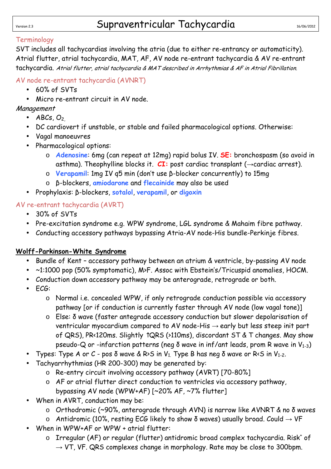# Version 2.3 Supraventricular Tachycardia 16/06/2012

### Terminology

SVT includes all tachycardias involving the atria (due to either re-entrancy or automaticity). Atrial flutter, atrial tachycardia, MAT, AF, AV node re-entrant tachycardia & AV re-entrant tachycardia. Atrial flutter, atrial tachycardia & MAT described in Arrhythmias & AF in Atrial Fibrillation.

AV node re-entrant tachycardia (AVNRT)

- 60% of SVTs
- Micro re-entrant circuit in AV node.

# Management

- $ABCs, O<sub>2</sub>$
- DC cardiovert if unstable, or stable and failed pharmacological options. Otherwise:
- Vagal manoeuvres
- Pharmacological options:
	- o **Adenosine**: 6mg (can repeat at 12mg) rapid bolus IV. **SE:** bronchospasm (so avoid in asthma). Theophylline blocks it.  $CI:$  post cardiac transplant ( $\rightarrow$ cardiac arrest).
	- o **Verapamil**: 1mg IV q5 min (don't use β-blocker concurrently) to 15mg
	- o β-blockers, **amiodarone** and **flecainide** may also be used
- Prophylaxis: β-blockers, **sotalol**, **verapamil**, or **digoxin**

# AV re-entrant tachycardia (AVRT)

- 30% of SVTs
- Pre-excitation syndrome e.g. WPW syndrome, LGL syndrome & Mahaim fibre pathway.
- Conducting accessory pathways bypassing Atria-AV node-His bundle-Perkinje fibres.

# **Wolff-Parkinson-White Syndrome**

- Bundle of Kent accessory pathway between an atrium & ventricle, by-passing AV node
- ~1:1000 pop (50% symptomatic), M>F. Assoc with Ebstein's/Tricuspid anomalies, HOCM.
- Conduction down accessory pathway may be anterograde, retrograde or both.
- ECG:
	- o Normal i.e. concealed WPW, if only retrograde conduction possible via accessory pathway [or if conduction is currently faster through AV node (low vagal tone)]
	- o Else: δ wave (faster antegrade accessory conduction but slower depolarisation of ventricular myocardium compared to AV node-His  $\rightarrow$  early but less steep init part of QRS), PR<120ms. Slightly ↑QRS (>110ms), discordant ST & T changes. May show pseudo-Q or -infarction patterns (neg  $\delta$  wave in inf/ant leads, prom R wave in  $V_{1-3}$ )
- Types: Type A or C pos δ wave & R>S in V<sub>1</sub>. Type B has neg δ wave or R<S in V<sub>1-2</sub>.
- Tachyarrhythmias (HR 200-300) may be generated by:
	- o Re-entry circuit involving accessory pathway (AVRT) [70-80%]
	- o AF or atrial flutter direct conduction to ventricles via accessory pathway, bypassing AV node (WPW+AF) [~20% AF, ~7% flutter]
- When in AVRT, conduction may be:
	- o Orthodromic (~90%, anterograde through AVN) is narrow like AVNRT & no δ waves
	- o Antidromic (10%, resting ECG likely to show  $\delta$  waves) usually broad. Could  $\rightarrow$  VF
- When in WPW+AF or WPW + atrial flutter:
	- $\circ$  Irregular (AF) or regular (flutter) antidromic broad complex tachycardia. Risk<sup>+</sup> of  $\rightarrow$  VT, VF. QRS complexes change in morphology. Rate may be close to 300 bpm.